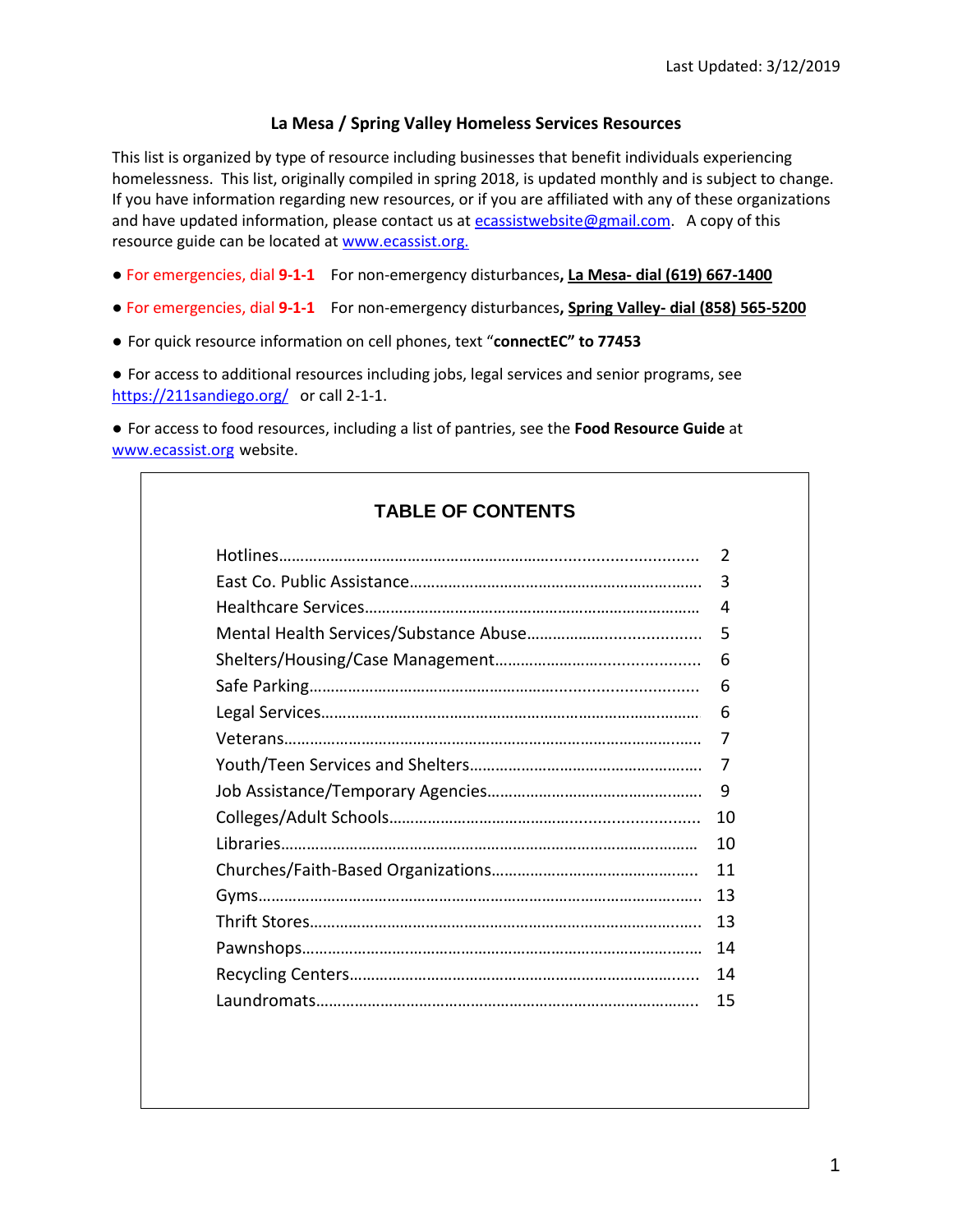#### **La Mesa / Spring Valley Homeless Services Resources**

This list is organized by type of resource including businesses that benefit individuals experiencing homelessness. This list, originally compiled in spring 2018, is updated monthly and is subject to change. If you have information regarding new resources, or if you are affiliated with any of these organizations and have updated information, please contact us at [ecassistwebsite@gmail.com.](mailto:ecassistwebsite@gmail.com) A copy of this resource guide can be located at [www.ecassist.org.](http://www.ecassist.org./)

- For emergencies, dial **9-1-1** For non-emergency disturbances**, La Mesa- dial (619) 667-1400**
- For emergencies, dial **9-1-1** For non-emergency disturbances**, Spring Valley- dial (858) 565-5200**
- For quick resource information on cell phones, text "**connectEC" to 77453**

● For access to additional resources including jobs, legal services and senior programs, see <https://211sandiego.org/> or call 2-1-1.

● For access to food resources, including a list of pantries, see the **Food Resource Guide** at [www.ecassist.org](http://www.ecassist.org/) website.

# **TABLE OF CONTENTS**

|  | 2  |
|--|----|
|  | 3  |
|  | 4  |
|  | 5  |
|  | 6  |
|  | 6  |
|  | 6  |
|  | 7  |
|  | 7  |
|  | 9  |
|  | 10 |
|  | 10 |
|  | 11 |
|  | 13 |
|  | 13 |
|  | 14 |
|  | 14 |
|  | 15 |
|  |    |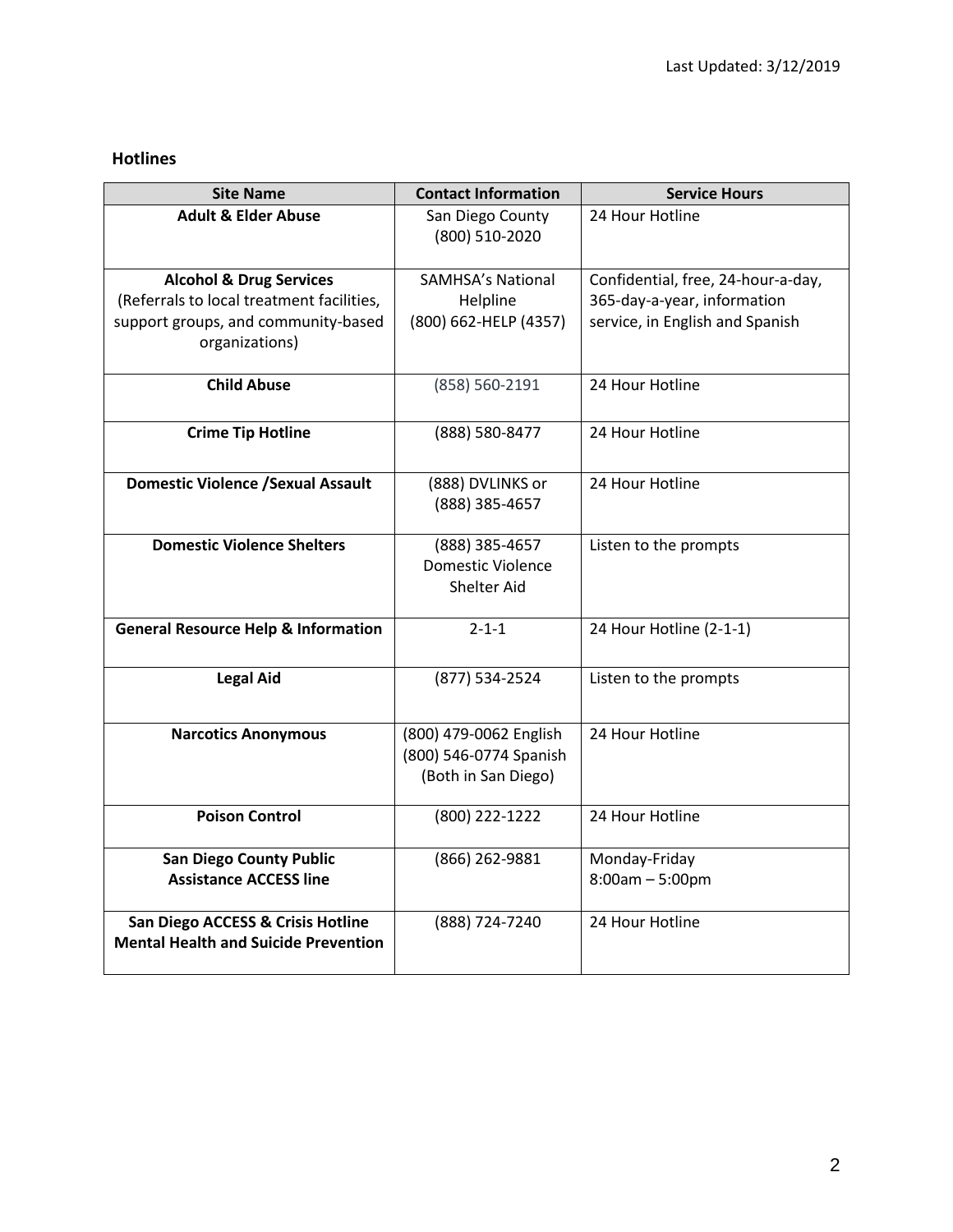# **Hotlines**

| <b>Site Name</b>                                      | <b>Contact Information</b>                                              | <b>Service Hours</b>               |
|-------------------------------------------------------|-------------------------------------------------------------------------|------------------------------------|
| <b>Adult &amp; Elder Abuse</b>                        | San Diego County<br>(800) 510-2020                                      | 24 Hour Hotline                    |
|                                                       |                                                                         |                                    |
| <b>Alcohol &amp; Drug Services</b>                    | <b>SAMHSA's National</b>                                                | Confidential, free, 24-hour-a-day, |
| (Referrals to local treatment facilities,             | Helpline                                                                | 365-day-a-year, information        |
| support groups, and community-based<br>organizations) | (800) 662-HELP (4357)                                                   | service, in English and Spanish    |
| <b>Child Abuse</b>                                    | (858) 560-2191                                                          | 24 Hour Hotline                    |
| <b>Crime Tip Hotline</b>                              | (888) 580-8477                                                          | 24 Hour Hotline                    |
| <b>Domestic Violence / Sexual Assault</b>             | (888) DVLINKS or<br>(888) 385-4657                                      | 24 Hour Hotline                    |
| <b>Domestic Violence Shelters</b>                     | (888) 385-4657<br><b>Domestic Violence</b><br>Shelter Aid               | Listen to the prompts              |
| <b>General Resource Help &amp; Information</b>        | $2 - 1 - 1$                                                             | 24 Hour Hotline (2-1-1)            |
| <b>Legal Aid</b>                                      | (877) 534-2524                                                          | Listen to the prompts              |
| <b>Narcotics Anonymous</b>                            | (800) 479-0062 English<br>(800) 546-0774 Spanish<br>(Both in San Diego) | 24 Hour Hotline                    |
|                                                       |                                                                         |                                    |
| <b>Poison Control</b>                                 | (800) 222-1222                                                          | 24 Hour Hotline                    |
| <b>San Diego County Public</b>                        | (866) 262-9881                                                          | Monday-Friday                      |
| <b>Assistance ACCESS line</b>                         |                                                                         | $8:00am - 5:00pm$                  |
| San Diego ACCESS & Crisis Hotline                     | (888) 724-7240                                                          | 24 Hour Hotline                    |
| <b>Mental Health and Suicide Prevention</b>           |                                                                         |                                    |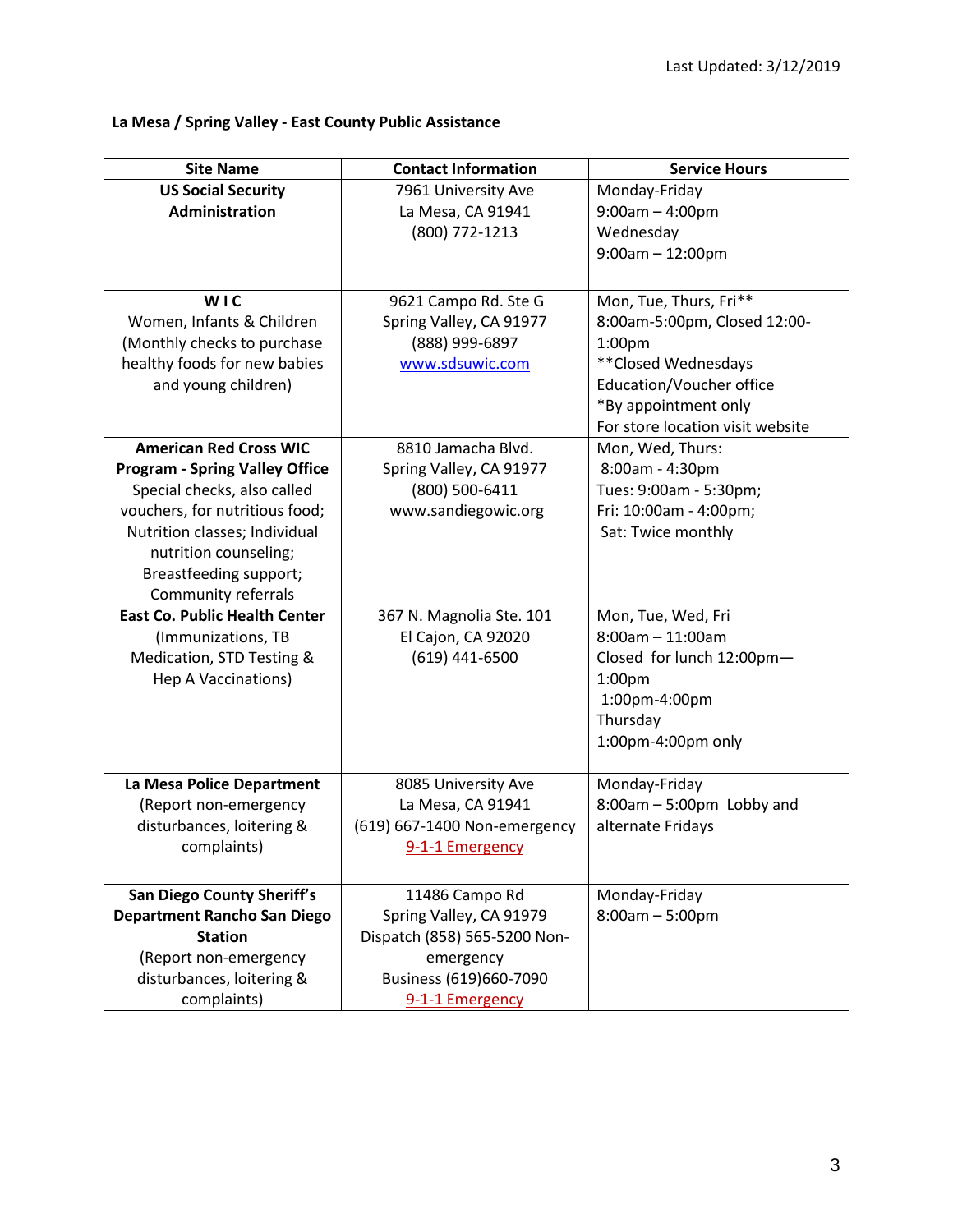# **La Mesa / Spring Valley - East County Public Assistance**

| <b>Site Name</b>                      | <b>Contact Information</b>   | <b>Service Hours</b>             |
|---------------------------------------|------------------------------|----------------------------------|
| <b>US Social Security</b>             | 7961 University Ave          | Monday-Friday                    |
| <b>Administration</b>                 | La Mesa, CA 91941            | $9:00am - 4:00pm$                |
|                                       | (800) 772-1213               | Wednesday                        |
|                                       |                              | $9:00am - 12:00pm$               |
|                                       |                              |                                  |
| WIC                                   | 9621 Campo Rd. Ste G         | Mon, Tue, Thurs, Fri**           |
| Women, Infants & Children             | Spring Valley, CA 91977      | 8:00am-5:00pm, Closed 12:00-     |
| (Monthly checks to purchase           | (888) 999-6897               | 1:00 <sub>pm</sub>               |
| healthy foods for new babies          | www.sdsuwic.com              | ** Closed Wednesdays             |
| and young children)                   |                              | Education/Voucher office         |
|                                       |                              | *By appointment only             |
|                                       |                              | For store location visit website |
| <b>American Red Cross WIC</b>         | 8810 Jamacha Blvd.           | Mon, Wed, Thurs:                 |
| <b>Program - Spring Valley Office</b> | Spring Valley, CA 91977      | 8:00am - 4:30pm                  |
| Special checks, also called           | (800) 500-6411               | Tues: 9:00am - 5:30pm;           |
| vouchers, for nutritious food;        | www.sandiegowic.org          | Fri: 10:00am - 4:00pm;           |
| Nutrition classes; Individual         |                              | Sat: Twice monthly               |
| nutrition counseling;                 |                              |                                  |
| Breastfeeding support;                |                              |                                  |
| Community referrals                   |                              |                                  |
| <b>East Co. Public Health Center</b>  | 367 N. Magnolia Ste. 101     | Mon, Tue, Wed, Fri               |
| (Immunizations, TB                    | El Cajon, CA 92020           | $8:00am - 11:00am$               |
| Medication, STD Testing &             | (619) 441-6500               | Closed for lunch 12:00pm-        |
| Hep A Vaccinations)                   |                              | 1:00 <sub>pm</sub>               |
|                                       |                              | 1:00pm-4:00pm                    |
|                                       |                              | Thursday                         |
|                                       |                              | 1:00pm-4:00pm only               |
| La Mesa Police Department             | 8085 University Ave          | Monday-Friday                    |
| (Report non-emergency                 | La Mesa, CA 91941            | 8:00am - 5:00pm Lobby and        |
| disturbances, loitering &             | (619) 667-1400 Non-emergency | alternate Fridays                |
| complaints)                           | 9-1-1 Emergency              |                                  |
|                                       |                              |                                  |
| <b>San Diego County Sheriff's</b>     | 11486 Campo Rd               | Monday-Friday                    |
| Department Rancho San Diego           | Spring Valley, CA 91979      | $8:00am - 5:00pm$                |
| <b>Station</b>                        | Dispatch (858) 565-5200 Non- |                                  |
| (Report non-emergency                 | emergency                    |                                  |
| disturbances, loitering &             | Business (619)660-7090       |                                  |
| complaints)                           | 9-1-1 Emergency              |                                  |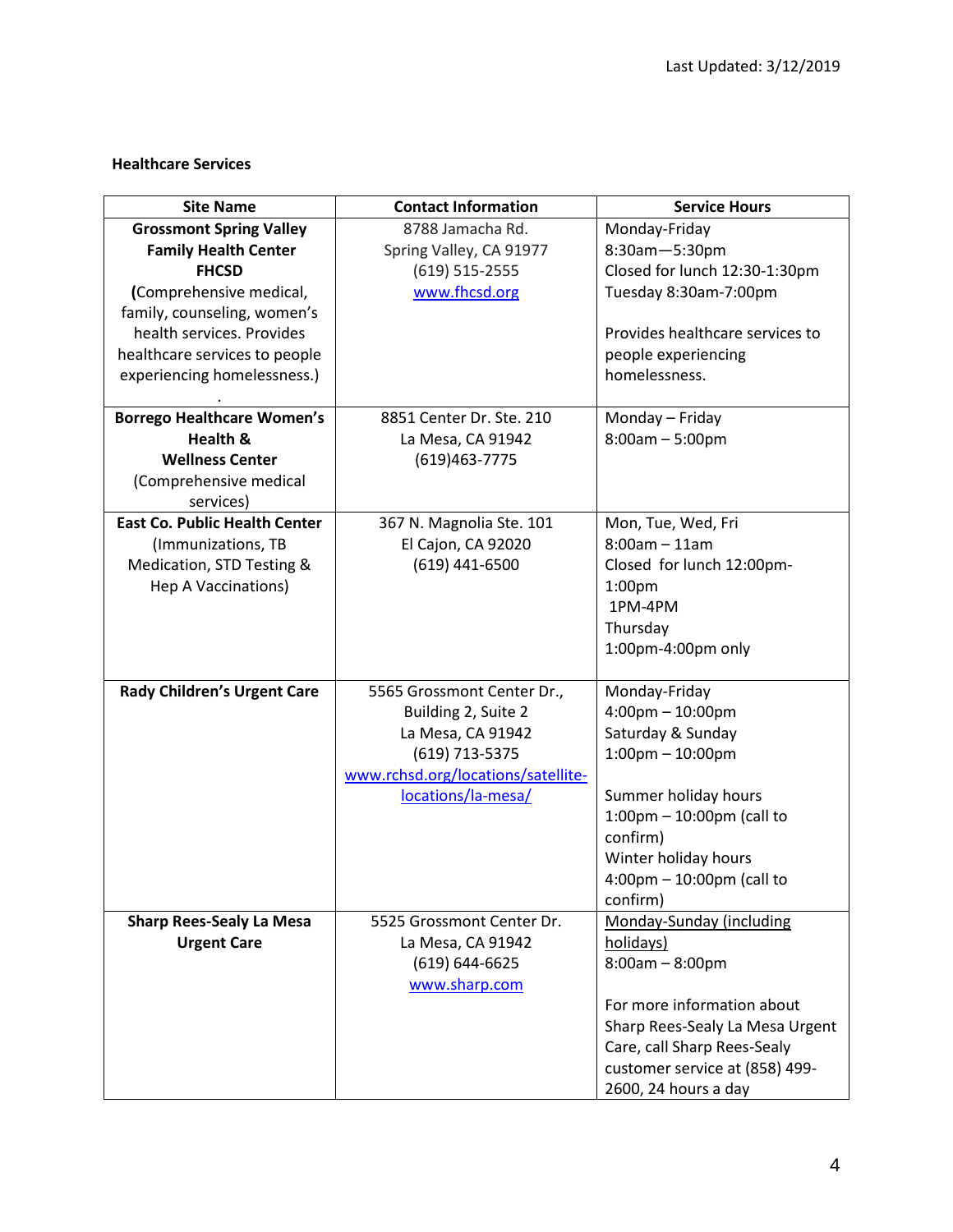### **Healthcare Services**

| <b>Site Name</b>                     | <b>Contact Information</b>         | <b>Service Hours</b>                        |
|--------------------------------------|------------------------------------|---------------------------------------------|
| <b>Grossmont Spring Valley</b>       | 8788 Jamacha Rd.                   | Monday-Friday                               |
| <b>Family Health Center</b>          | Spring Valley, CA 91977            | 8:30am-5:30pm                               |
| <b>FHCSD</b>                         | $(619) 515 - 2555$                 | Closed for lunch 12:30-1:30pm               |
| (Comprehensive medical,              | www.fhcsd.org                      | Tuesday 8:30am-7:00pm                       |
| family, counseling, women's          |                                    |                                             |
| health services. Provides            |                                    | Provides healthcare services to             |
| healthcare services to people        |                                    | people experiencing                         |
| experiencing homelessness.)          |                                    | homelessness.                               |
|                                      |                                    |                                             |
| <b>Borrego Healthcare Women's</b>    | 8851 Center Dr. Ste. 210           | Monday - Friday                             |
| Health &                             | La Mesa, CA 91942                  | $8:00am - 5:00pm$                           |
| <b>Wellness Center</b>               | (619) 463 - 7775                   |                                             |
| (Comprehensive medical               |                                    |                                             |
| services)                            |                                    |                                             |
| <b>East Co. Public Health Center</b> | 367 N. Magnolia Ste. 101           | Mon, Tue, Wed, Fri                          |
| (Immunizations, TB                   | El Cajon, CA 92020                 | $8:00am - 11am$                             |
| Medication, STD Testing &            | (619) 441-6500                     | Closed for lunch 12:00pm-                   |
| Hep A Vaccinations)                  |                                    | 1:00 <sub>pm</sub>                          |
|                                      |                                    | 1PM-4PM                                     |
|                                      |                                    | Thursday                                    |
|                                      |                                    | 1:00pm-4:00pm only                          |
|                                      |                                    |                                             |
| Rady Children's Urgent Care          | 5565 Grossmont Center Dr.,         | Monday-Friday                               |
|                                      | Building 2, Suite 2                | $4:00$ pm $- 10:00$ pm                      |
|                                      | La Mesa, CA 91942                  | Saturday & Sunday                           |
|                                      | (619) 713-5375                     | $1:00$ pm $- 10:00$ pm                      |
|                                      | www.rchsd.org/locations/satellite- |                                             |
|                                      | locations/la-mesa/                 | Summer holiday hours                        |
|                                      |                                    | $1:00$ pm - $10:00$ pm (call to             |
|                                      |                                    | confirm)                                    |
|                                      |                                    | Winter holiday hours                        |
|                                      |                                    | $4:00 \text{pm} - 10:00 \text{pm}$ (call to |
|                                      |                                    | confirm)                                    |
| <b>Sharp Rees-Sealy La Mesa</b>      | 5525 Grossmont Center Dr.          | Monday-Sunday (including                    |
| <b>Urgent Care</b>                   | La Mesa, CA 91942                  | holidays)                                   |
|                                      | $(619) 644 - 6625$                 | $8:00am - 8:00pm$                           |
|                                      | www.sharp.com                      |                                             |
|                                      |                                    | For more information about                  |
|                                      |                                    | Sharp Rees-Sealy La Mesa Urgent             |
|                                      |                                    | Care, call Sharp Rees-Sealy                 |
|                                      |                                    | customer service at (858) 499-              |
|                                      |                                    | 2600, 24 hours a day                        |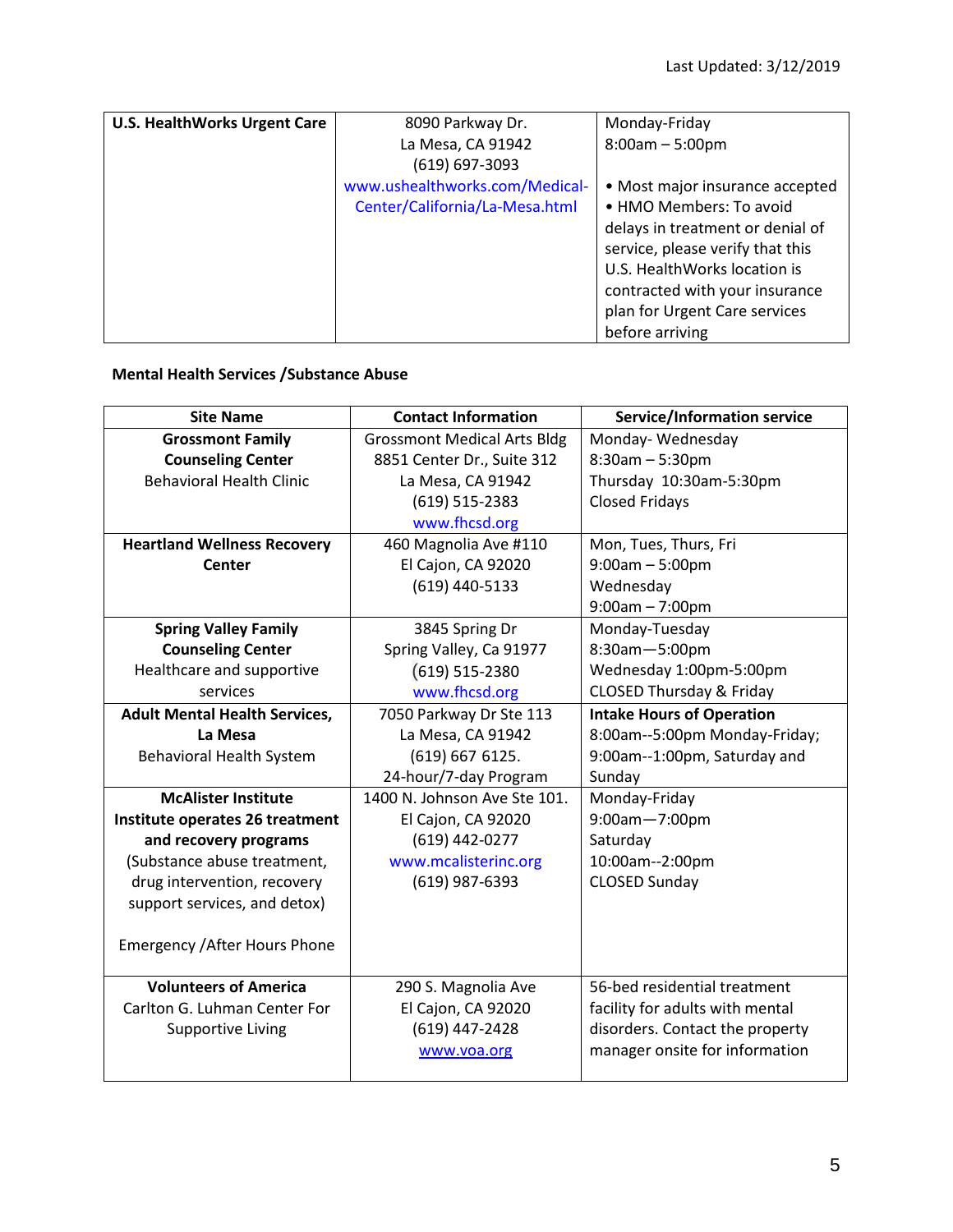| <b>U.S. HealthWorks Urgent Care</b> | 8090 Parkway Dr.               | Monday-Friday                    |
|-------------------------------------|--------------------------------|----------------------------------|
|                                     | La Mesa, CA 91942              | $8:00am - 5:00pm$                |
|                                     | $(619) 697 - 3093$             |                                  |
|                                     | www.ushealthworks.com/Medical- | • Most major insurance accepted  |
|                                     | Center/California/La-Mesa.html | • HMO Members: To avoid          |
|                                     |                                | delays in treatment or denial of |
|                                     |                                | service, please verify that this |
|                                     |                                | U.S. HealthWorks location is     |
|                                     |                                | contracted with your insurance   |
|                                     |                                | plan for Urgent Care services    |
|                                     |                                | before arriving                  |

#### **Mental Health Services /Substance Abuse**

| <b>Site Name</b>                     | <b>Contact Information</b>         | <b>Service/Information service</b>  |
|--------------------------------------|------------------------------------|-------------------------------------|
| <b>Grossmont Family</b>              | <b>Grossmont Medical Arts Bldg</b> | Monday-Wednesday                    |
| <b>Counseling Center</b>             | 8851 Center Dr., Suite 312         | $8:30$ am $-5:30$ pm                |
| <b>Behavioral Health Clinic</b>      | La Mesa, CA 91942                  | Thursday 10:30am-5:30pm             |
|                                      | (619) 515-2383                     | <b>Closed Fridays</b>               |
|                                      | www.fhcsd.org                      |                                     |
| <b>Heartland Wellness Recovery</b>   | 460 Magnolia Ave #110              | Mon, Tues, Thurs, Fri               |
| Center                               | El Cajon, CA 92020                 | $9:00am - 5:00pm$                   |
|                                      | (619) 440-5133                     | Wednesday                           |
|                                      |                                    | $9:00am - 7:00pm$                   |
| <b>Spring Valley Family</b>          | 3845 Spring Dr                     | Monday-Tuesday                      |
| <b>Counseling Center</b>             | Spring Valley, Ca 91977            | 8:30am-5:00pm                       |
| Healthcare and supportive            | $(619) 515 - 2380$                 | Wednesday 1:00pm-5:00pm             |
| services                             | www.fhcsd.org                      | <b>CLOSED Thursday &amp; Friday</b> |
| <b>Adult Mental Health Services,</b> | 7050 Parkway Dr Ste 113            | <b>Intake Hours of Operation</b>    |
| La Mesa                              | La Mesa, CA 91942                  | 8:00am--5:00pm Monday-Friday;       |
| <b>Behavioral Health System</b>      | (619) 667 6125.                    | 9:00am--1:00pm, Saturday and        |
|                                      | 24-hour/7-day Program              | Sunday                              |
| <b>McAlister Institute</b>           | 1400 N. Johnson Ave Ste 101.       | Monday-Friday                       |
| Institute operates 26 treatment      | El Cajon, CA 92020                 | 9:00am-7:00pm                       |
| and recovery programs                | (619) 442-0277                     | Saturday                            |
| (Substance abuse treatment,          | www.mcalisterinc.org               | 10:00am--2:00pm                     |
| drug intervention, recovery          | (619) 987-6393                     | <b>CLOSED Sunday</b>                |
| support services, and detox)         |                                    |                                     |
|                                      |                                    |                                     |
| <b>Emergency / After Hours Phone</b> |                                    |                                     |
|                                      |                                    |                                     |
| <b>Volunteers of America</b>         | 290 S. Magnolia Ave                | 56-bed residential treatment        |
| Carlton G. Luhman Center For         | El Cajon, CA 92020                 | facility for adults with mental     |
| <b>Supportive Living</b>             | (619) 447-2428                     | disorders. Contact the property     |
|                                      | www.voa.org                        | manager onsite for information      |
|                                      |                                    |                                     |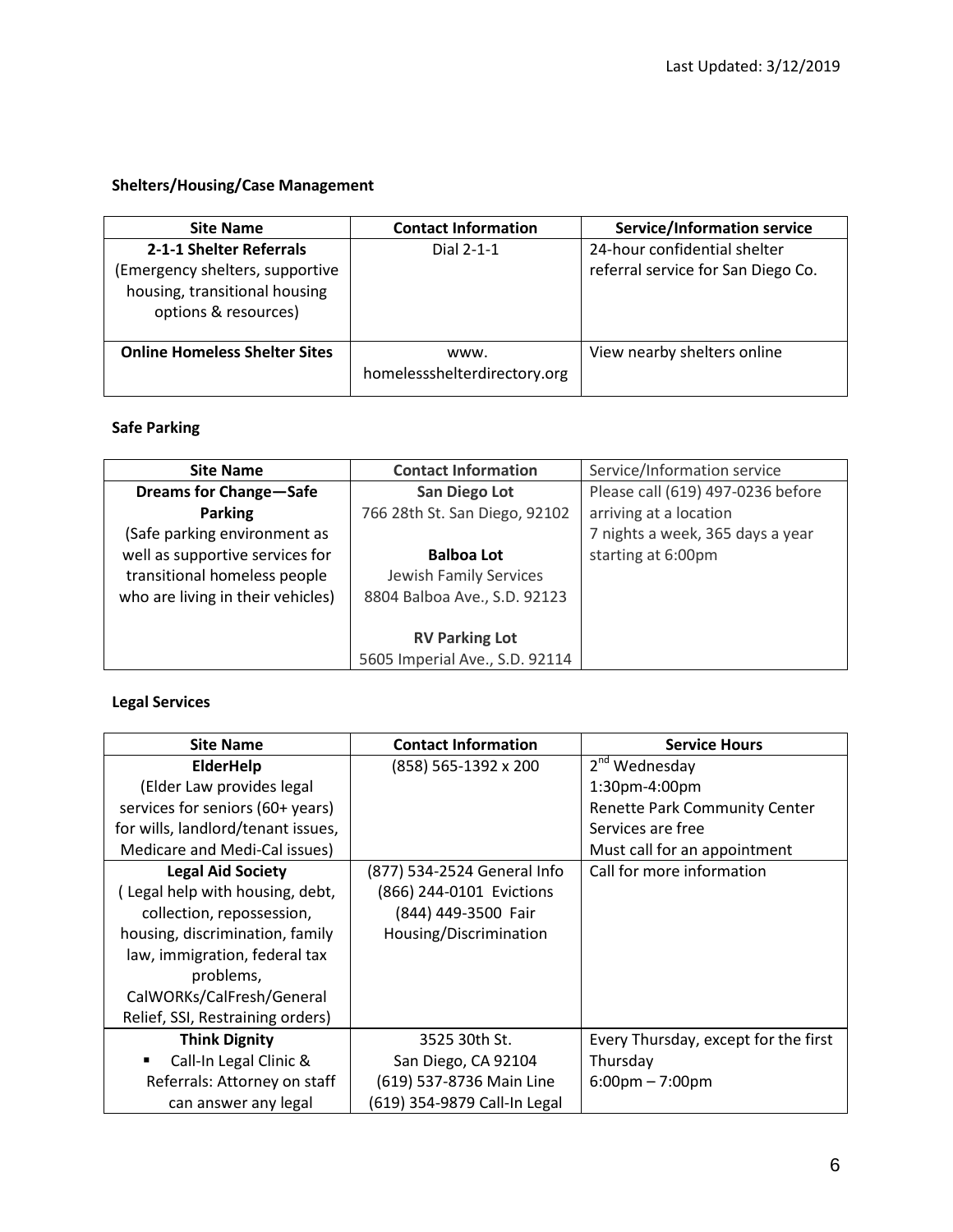# **Shelters/Housing/Case Management**

| <b>Site Name</b>                                                                                                    | <b>Contact Information</b>           | <b>Service/Information service</b>                                 |
|---------------------------------------------------------------------------------------------------------------------|--------------------------------------|--------------------------------------------------------------------|
| 2-1-1 Shelter Referrals<br>(Emergency shelters, supportive<br>housing, transitional housing<br>options & resources) | Dial 2-1-1                           | 24-hour confidential shelter<br>referral service for San Diego Co. |
| <b>Online Homeless Shelter Sites</b>                                                                                | www.<br>homelessshelterdirectory.org | View nearby shelters online                                        |

### **Safe Parking**

| <b>Site Name</b>                                                                                     | <b>Contact Information</b>                                                  | Service/Information service       |
|------------------------------------------------------------------------------------------------------|-----------------------------------------------------------------------------|-----------------------------------|
| <b>Dreams for Change-Safe</b>                                                                        | San Diego Lot                                                               | Please call (619) 497-0236 before |
| <b>Parking</b>                                                                                       | 766 28th St. San Diego, 92102                                               | arriving at a location            |
| (Safe parking environment as                                                                         |                                                                             | 7 nights a week, 365 days a year  |
| well as supportive services for<br>transitional homeless people<br>who are living in their vehicles) | <b>Balboa Lot</b><br>Jewish Family Services<br>8804 Balboa Ave., S.D. 92123 | starting at 6:00pm                |
|                                                                                                      | <b>RV Parking Lot</b>                                                       |                                   |
|                                                                                                      | 5605 Imperial Ave., S.D. 92114                                              |                                   |

### **Legal Services**

| <b>Site Name</b>                   | <b>Contact Information</b>   | <b>Service Hours</b>                 |
|------------------------------------|------------------------------|--------------------------------------|
| <b>ElderHelp</b>                   | (858) 565-1392 x 200         | 2 <sup>nd</sup> Wednesday            |
| (Elder Law provides legal          |                              | 1:30pm-4:00pm                        |
| services for seniors (60+ years)   |                              | <b>Renette Park Community Center</b> |
| for wills, landlord/tenant issues, |                              | Services are free                    |
| Medicare and Medi-Cal issues)      |                              | Must call for an appointment         |
| <b>Legal Aid Society</b>           | (877) 534-2524 General Info  | Call for more information            |
| (Legal help with housing, debt,    | (866) 244-0101 Evictions     |                                      |
| collection, repossession,          | (844) 449-3500 Fair          |                                      |
| housing, discrimination, family    | Housing/Discrimination       |                                      |
| law, immigration, federal tax      |                              |                                      |
| problems,                          |                              |                                      |
| CalWORKs/CalFresh/General          |                              |                                      |
| Relief, SSI, Restraining orders)   |                              |                                      |
| <b>Think Dignity</b>               | 3525 30th St.                | Every Thursday, except for the first |
| Call-In Legal Clinic &<br>٠        | San Diego, CA 92104          | Thursday                             |
| Referrals: Attorney on staff       | (619) 537-8736 Main Line     | $6:00 \text{pm} - 7:00 \text{pm}$    |
| can answer any legal               | (619) 354-9879 Call-In Legal |                                      |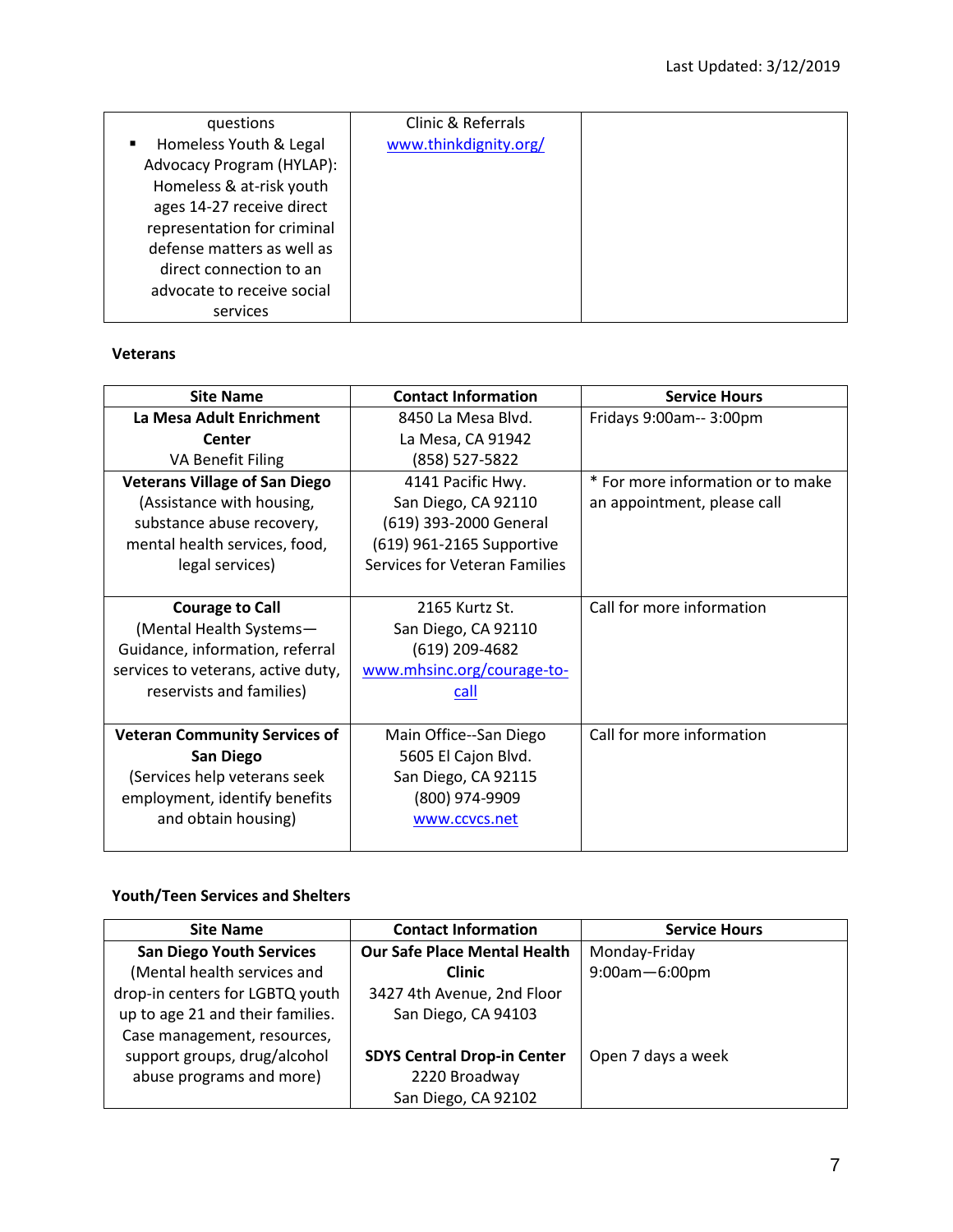| questions                   | Clinic & Referrals    |  |
|-----------------------------|-----------------------|--|
| Homeless Youth & Legal      | www.thinkdignity.org/ |  |
| Advocacy Program (HYLAP):   |                       |  |
| Homeless & at-risk youth    |                       |  |
| ages 14-27 receive direct   |                       |  |
| representation for criminal |                       |  |
| defense matters as well as  |                       |  |
| direct connection to an     |                       |  |
| advocate to receive social  |                       |  |
| services                    |                       |  |

#### **Veterans**

| <b>Site Name</b>                     | <b>Contact Information</b>    | <b>Service Hours</b>              |
|--------------------------------------|-------------------------------|-----------------------------------|
| La Mesa Adult Enrichment             | 8450 La Mesa Blyd.            | Fridays 9:00am-- 3:00pm           |
| Center                               | La Mesa, CA 91942             |                                   |
| <b>VA Benefit Filing</b>             | (858) 527-5822                |                                   |
| <b>Veterans Village of San Diego</b> | 4141 Pacific Hwy.             | * For more information or to make |
| (Assistance with housing,            | San Diego, CA 92110           | an appointment, please call       |
| substance abuse recovery,            | (619) 393-2000 General        |                                   |
| mental health services, food,        | (619) 961-2165 Supportive     |                                   |
| legal services)                      | Services for Veteran Families |                                   |
|                                      |                               |                                   |
| <b>Courage to Call</b>               | 2165 Kurtz St.                | Call for more information         |
| (Mental Health Systems-              | San Diego, CA 92110           |                                   |
| Guidance, information, referral      | (619) 209-4682                |                                   |
| services to veterans, active duty,   | www.mhsinc.org/courage-to-    |                                   |
| reservists and families)             | call                          |                                   |
|                                      |                               |                                   |
| <b>Veteran Community Services of</b> | Main Office--San Diego        | Call for more information         |
| <b>San Diego</b>                     | 5605 El Cajon Blvd.           |                                   |
| (Services help veterans seek         | San Diego, CA 92115           |                                   |
| employment, identify benefits        | (800) 974-9909                |                                   |
| and obtain housing)                  | www.ccvcs.net                 |                                   |
|                                      |                               |                                   |

# **Youth/Teen Services and Shelters**

| <b>Site Name</b>                 | <b>Contact Information</b>          | <b>Service Hours</b> |
|----------------------------------|-------------------------------------|----------------------|
| <b>San Diego Youth Services</b>  | <b>Our Safe Place Mental Health</b> | Monday-Friday        |
| (Mental health services and      | <b>Clinic</b>                       | 9:00am-6:00pm        |
| drop-in centers for LGBTQ youth  | 3427 4th Avenue, 2nd Floor          |                      |
| up to age 21 and their families. | San Diego, CA 94103                 |                      |
| Case management, resources,      |                                     |                      |
| support groups, drug/alcohol     | <b>SDYS Central Drop-in Center</b>  | Open 7 days a week   |
| abuse programs and more)         | 2220 Broadway                       |                      |
|                                  | San Diego, CA 92102                 |                      |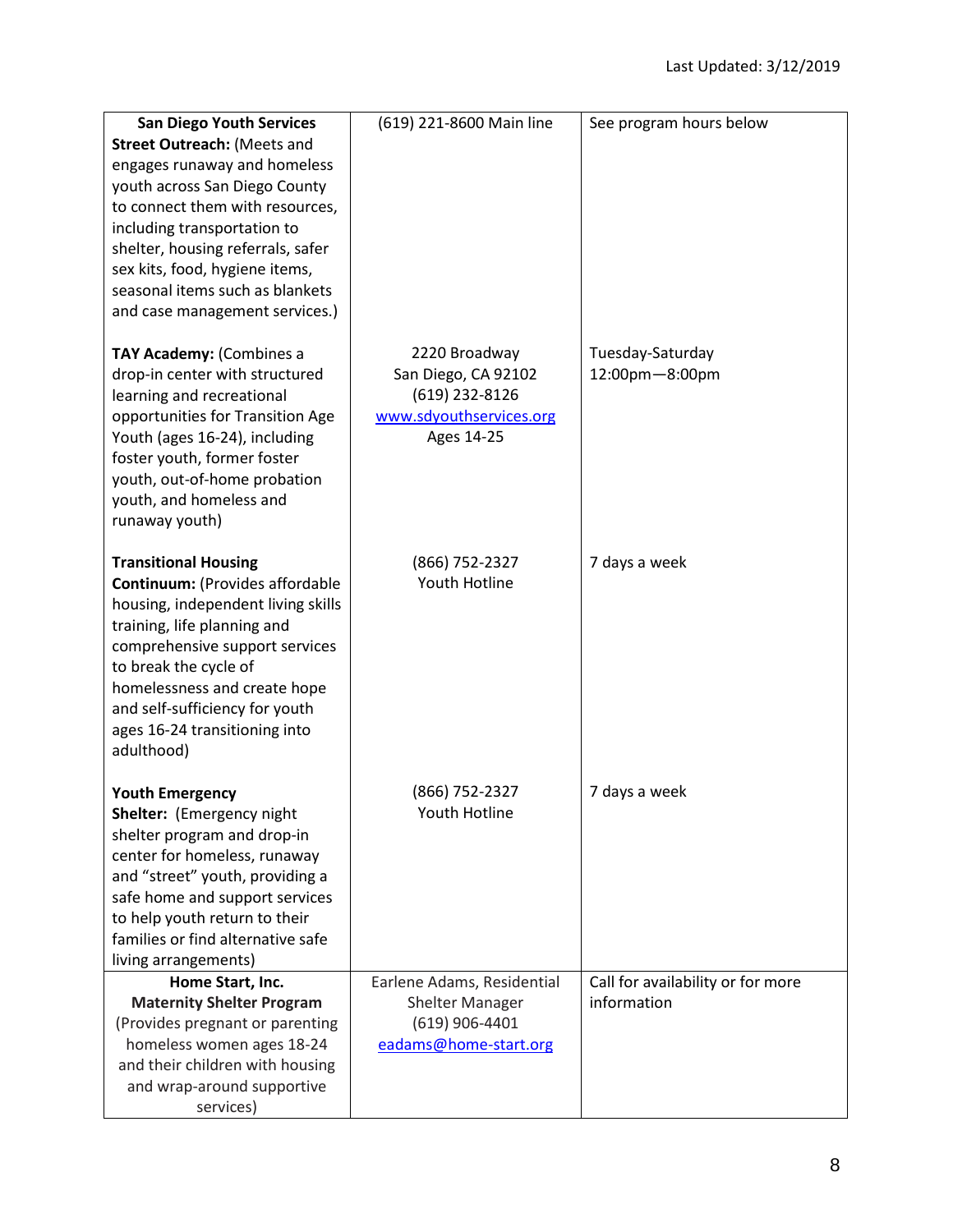| <b>San Diego Youth Services</b>                               | (619) 221-8600 Main line               | See program hours below           |
|---------------------------------------------------------------|----------------------------------------|-----------------------------------|
| Street Outreach: (Meets and                                   |                                        |                                   |
| engages runaway and homeless                                  |                                        |                                   |
| youth across San Diego County                                 |                                        |                                   |
| to connect them with resources,                               |                                        |                                   |
| including transportation to                                   |                                        |                                   |
| shelter, housing referrals, safer                             |                                        |                                   |
| sex kits, food, hygiene items,                                |                                        |                                   |
| seasonal items such as blankets                               |                                        |                                   |
| and case management services.)                                |                                        |                                   |
| TAY Academy: (Combines a                                      | 2220 Broadway                          | Tuesday-Saturday                  |
| drop-in center with structured                                | San Diego, CA 92102                    | 12:00pm-8:00pm                    |
| learning and recreational                                     | (619) 232-8126                         |                                   |
| opportunities for Transition Age                              | www.sdyouthservices.org                |                                   |
| Youth (ages 16-24), including                                 | Ages 14-25                             |                                   |
| foster youth, former foster                                   |                                        |                                   |
| youth, out-of-home probation                                  |                                        |                                   |
| youth, and homeless and<br>runaway youth)                     |                                        |                                   |
|                                                               |                                        |                                   |
| <b>Transitional Housing</b>                                   | (866) 752-2327                         | 7 days a week                     |
| Continuum: (Provides affordable                               | Youth Hotline                          |                                   |
| housing, independent living skills                            |                                        |                                   |
| training, life planning and                                   |                                        |                                   |
| comprehensive support services                                |                                        |                                   |
| to break the cycle of<br>homelessness and create hope         |                                        |                                   |
| and self-sufficiency for youth                                |                                        |                                   |
| ages 16-24 transitioning into                                 |                                        |                                   |
| adulthood)                                                    |                                        |                                   |
|                                                               |                                        |                                   |
| <b>Youth Emergency</b>                                        | (866) 752-2327<br><b>Youth Hotline</b> | 7 days a week                     |
| Shelter: (Emergency night<br>shelter program and drop-in      |                                        |                                   |
| center for homeless, runaway                                  |                                        |                                   |
| and "street" youth, providing a                               |                                        |                                   |
| safe home and support services                                |                                        |                                   |
| to help youth return to their                                 |                                        |                                   |
| families or find alternative safe                             |                                        |                                   |
| living arrangements)                                          |                                        |                                   |
| Home Start, Inc.                                              | Earlene Adams, Residential             | Call for availability or for more |
| <b>Maternity Shelter Program</b>                              | <b>Shelter Manager</b>                 | information                       |
| (Provides pregnant or parenting                               | $(619)$ 906-4401                       |                                   |
| homeless women ages 18-24                                     | eadams@home-start.org                  |                                   |
| and their children with housing<br>and wrap-around supportive |                                        |                                   |
| services)                                                     |                                        |                                   |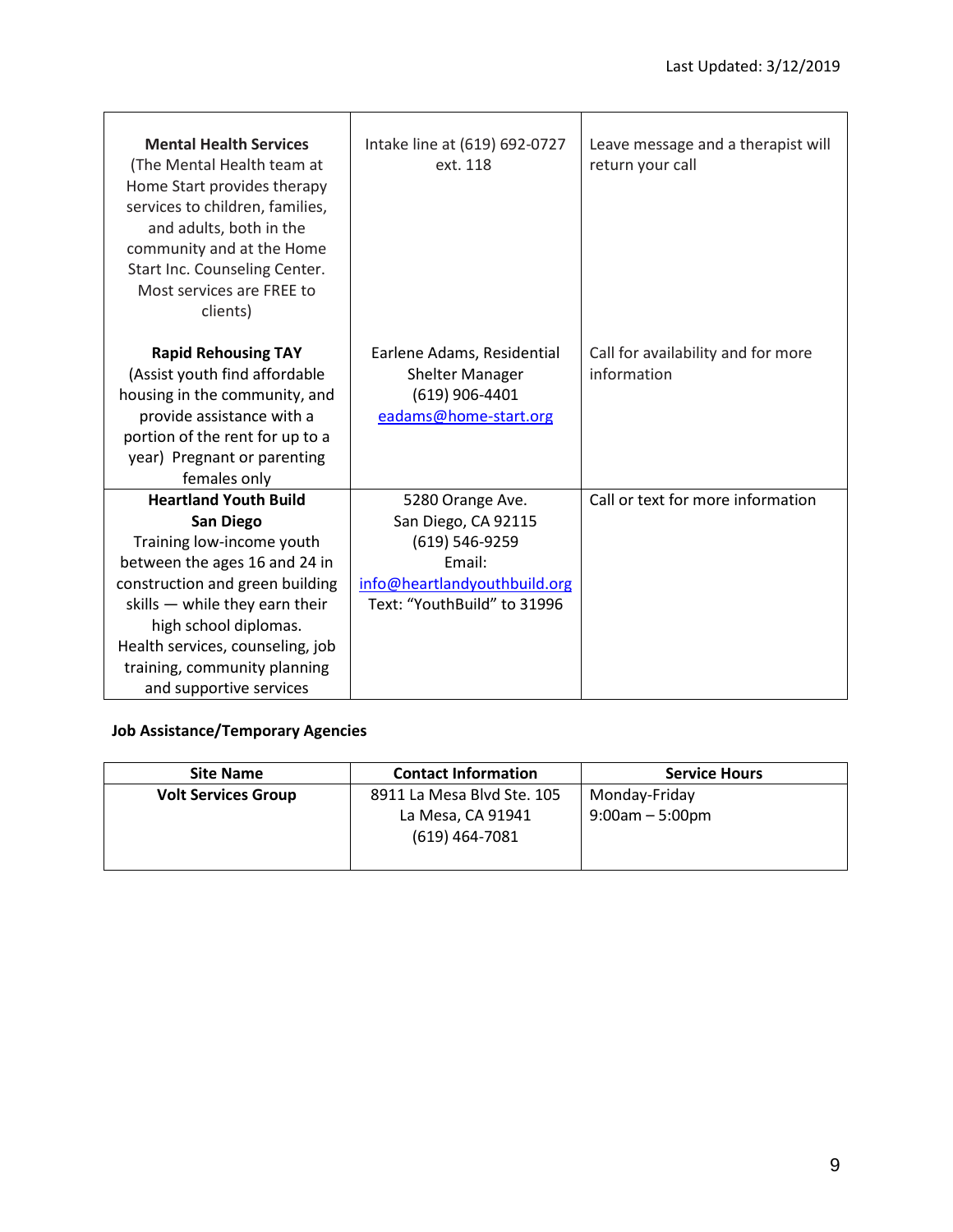| <b>Mental Health Services</b><br>(The Mental Health team at<br>Home Start provides therapy<br>services to children, families,<br>and adults, both in the<br>community and at the Home<br>Start Inc. Counseling Center.<br>Most services are FREE to<br>clients)                                             | Intake line at (619) 692-0727<br>ext. 118                                                                                          | Leave message and a therapist will<br>return your call |
|-------------------------------------------------------------------------------------------------------------------------------------------------------------------------------------------------------------------------------------------------------------------------------------------------------------|------------------------------------------------------------------------------------------------------------------------------------|--------------------------------------------------------|
| <b>Rapid Rehousing TAY</b><br>(Assist youth find affordable<br>housing in the community, and<br>provide assistance with a<br>portion of the rent for up to a<br>year) Pregnant or parenting<br>females only                                                                                                 | Earlene Adams, Residential<br><b>Shelter Manager</b><br>$(619)$ 906-4401<br>eadams@home-start.org                                  | Call for availability and for more<br>information      |
| <b>Heartland Youth Build</b><br><b>San Diego</b><br>Training low-income youth<br>between the ages 16 and 24 in<br>construction and green building<br>skills - while they earn their<br>high school diplomas.<br>Health services, counseling, job<br>training, community planning<br>and supportive services | 5280 Orange Ave.<br>San Diego, CA 92115<br>(619) 546-9259<br>Email:<br>info@heartlandyouthbuild.org<br>Text: "YouthBuild" to 31996 | Call or text for more information                      |

# **Job Assistance/Temporary Agencies**

| <b>Site Name</b>           | <b>Contact Information</b>            | <b>Service Hours</b> |
|----------------------------|---------------------------------------|----------------------|
| <b>Volt Services Group</b> | 8911 La Mesa Blvd Ste. 105            | Monday-Friday        |
|                            | La Mesa, CA 91941<br>$(619)$ 464-7081 | $9:00$ am $-5:00$ pm |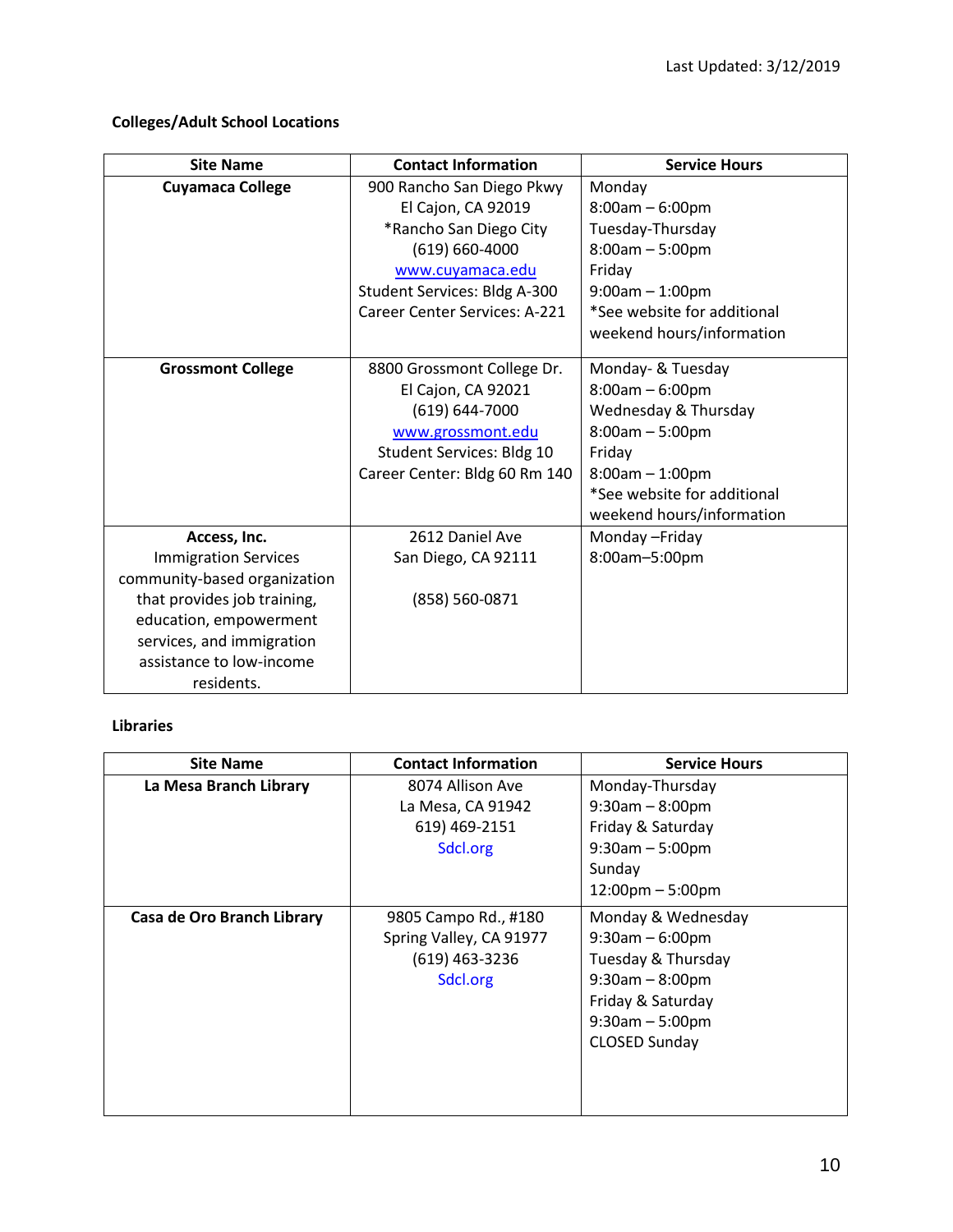# **Colleges/Adult School Locations**

| <b>Site Name</b>             | <b>Contact Information</b>    | <b>Service Hours</b>        |
|------------------------------|-------------------------------|-----------------------------|
| <b>Cuyamaca College</b>      | 900 Rancho San Diego Pkwy     | Monday                      |
|                              | El Cajon, CA 92019            | $8:00am - 6:00pm$           |
|                              | *Rancho San Diego City        | Tuesday-Thursday            |
|                              | $(619) 660 - 4000$            | $8:00am - 5:00pm$           |
|                              | www.cuyamaca.edu              | Friday                      |
|                              | Student Services: Bldg A-300  | $9:00am - 1:00pm$           |
|                              | Career Center Services: A-221 | *See website for additional |
|                              |                               | weekend hours/information   |
| <b>Grossmont College</b>     | 8800 Grossmont College Dr.    | Monday- & Tuesday           |
|                              | El Cajon, CA 92021            | $8:00am - 6:00pm$           |
|                              | $(619) 644 - 7000$            | Wednesday & Thursday        |
|                              | www.grossmont.edu             | $8:00am - 5:00pm$           |
|                              | Student Services: Bldg 10     | Friday                      |
|                              | Career Center: Bldg 60 Rm 140 | $8:00am - 1:00pm$           |
|                              |                               | *See website for additional |
|                              |                               | weekend hours/information   |
| Access, Inc.                 | 2612 Daniel Ave               | Monday-Friday               |
| <b>Immigration Services</b>  | San Diego, CA 92111           | 8:00am-5:00pm               |
| community-based organization |                               |                             |
| that provides job training,  | (858) 560-0871                |                             |
| education, empowerment       |                               |                             |
| services, and immigration    |                               |                             |
| assistance to low-income     |                               |                             |
| residents.                   |                               |                             |

#### **Libraries**

| <b>Site Name</b>           | <b>Contact Information</b> | <b>Service Hours</b>               |
|----------------------------|----------------------------|------------------------------------|
| La Mesa Branch Library     | 8074 Allison Ave           | Monday-Thursday                    |
|                            | La Mesa, CA 91942          | $9:30$ am $-8:00$ pm               |
|                            | 619) 469-2151              | Friday & Saturday                  |
|                            | Sdcl.org                   | $9:30$ am $-5:00$ pm               |
|                            |                            | Sunday                             |
|                            |                            | $12:00 \text{pm} - 5:00 \text{pm}$ |
| Casa de Oro Branch Library | 9805 Campo Rd., #180       | Monday & Wednesday                 |
|                            | Spring Valley, CA 91977    | $9:30$ am $-6:00$ pm               |
|                            | $(619)$ 463-3236           | Tuesday & Thursday                 |
|                            | Sdcl.org                   | $9:30am - 8:00pm$                  |
|                            |                            | Friday & Saturday                  |
|                            |                            | $9:30$ am $-5:00$ pm               |
|                            |                            | CLOSED Sunday                      |
|                            |                            |                                    |
|                            |                            |                                    |
|                            |                            |                                    |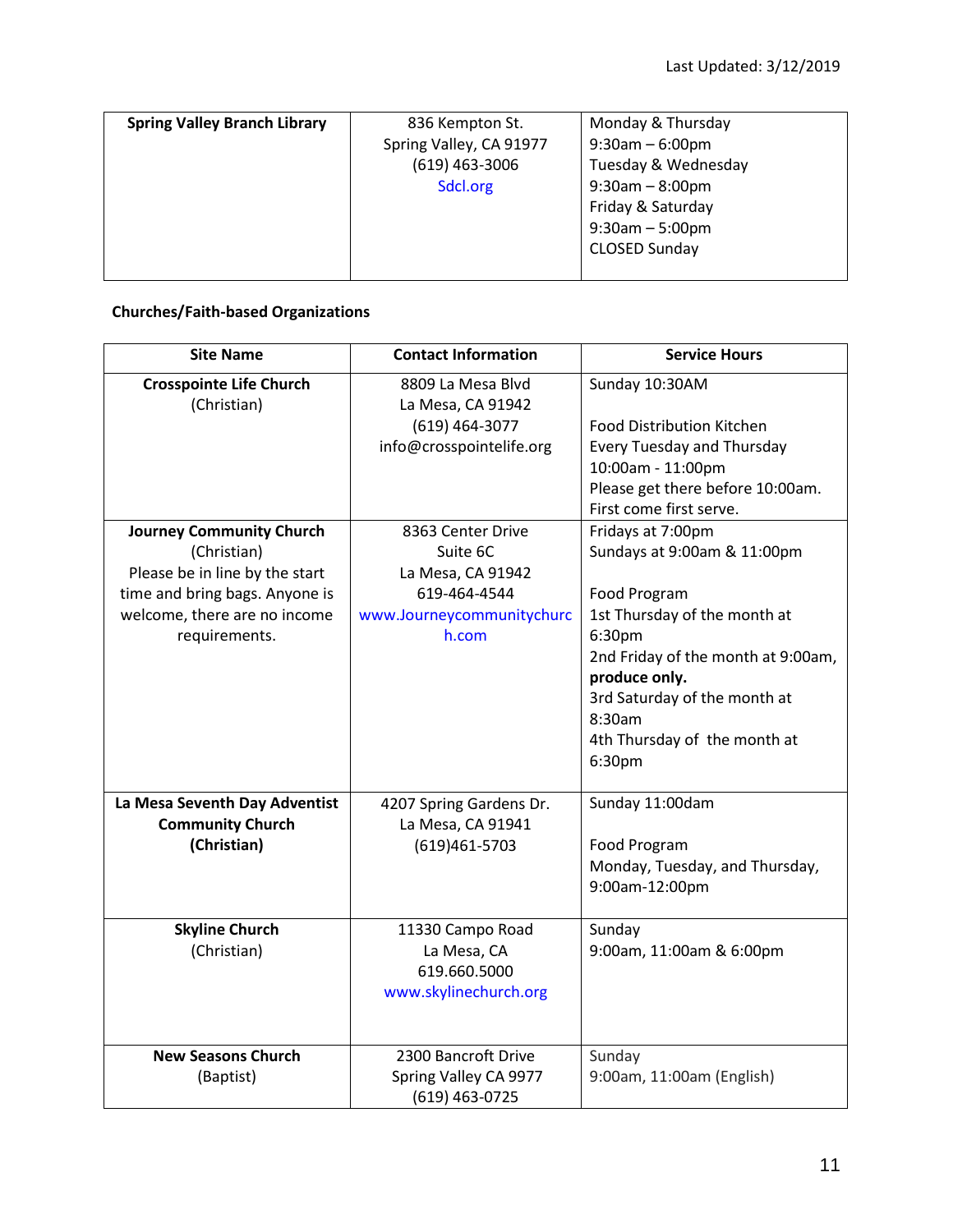| <b>Spring Valley Branch Library</b> | 836 Kempton St.         | Monday & Thursday     |
|-------------------------------------|-------------------------|-----------------------|
|                                     | Spring Valley, CA 91977 | $9:30$ am - 6:00pm    |
|                                     | $(619)$ 463-3006        | Tuesday & Wednesday   |
|                                     | Sdcl.org                | $9:30$ am - $8:00$ pm |
|                                     |                         | Friday & Saturday     |
|                                     |                         | $9:30$ am $-5:00$ pm  |
|                                     |                         | <b>CLOSED Sunday</b>  |
|                                     |                         |                       |

# **Churches/Faith-based Organizations**

| <b>Site Name</b>                                                                                                                                                    | <b>Contact Information</b>                                                                                                                | <b>Service Hours</b>                                                                                                                                                                                                                                  |
|---------------------------------------------------------------------------------------------------------------------------------------------------------------------|-------------------------------------------------------------------------------------------------------------------------------------------|-------------------------------------------------------------------------------------------------------------------------------------------------------------------------------------------------------------------------------------------------------|
| <b>Crosspointe Life Church</b><br>(Christian)                                                                                                                       | 8809 La Mesa Blvd<br>La Mesa, CA 91942<br>(619) 464-3077<br>info@crosspointelife.org                                                      | Sunday 10:30AM<br>Food Distribution Kitchen<br>Every Tuesday and Thursday<br>10:00am - 11:00pm<br>Please get there before 10:00am.<br>First come first serve.                                                                                         |
| <b>Journey Community Church</b><br>(Christian)<br>Please be in line by the start<br>time and bring bags. Anyone is<br>welcome, there are no income<br>requirements. | 8363 Center Drive<br>Suite 6C<br>La Mesa, CA 91942<br>619-464-4544<br>www.Journeycommunitychurc<br>h.com                                  | Fridays at 7:00pm<br>Sundays at 9:00am & 11:00pm<br>Food Program<br>1st Thursday of the month at<br>6:30pm<br>2nd Friday of the month at 9:00am,<br>produce only.<br>3rd Saturday of the month at<br>8:30am<br>4th Thursday of the month at<br>6:30pm |
| La Mesa Seventh Day Adventist<br><b>Community Church</b><br>(Christian)<br><b>Skyline Church</b><br>(Christian)                                                     | 4207 Spring Gardens Dr.<br>La Mesa, CA 91941<br>(619)461-5703<br>11330 Campo Road<br>La Mesa, CA<br>619.660.5000<br>www.skylinechurch.org | Sunday 11:00dam<br>Food Program<br>Monday, Tuesday, and Thursday,<br>9:00am-12:00pm<br>Sunday<br>9:00am, 11:00am & 6:00pm                                                                                                                             |
| <b>New Seasons Church</b><br>(Baptist)                                                                                                                              | 2300 Bancroft Drive<br>Spring Valley CA 9977<br>(619) 463-0725                                                                            | Sunday<br>9:00am, 11:00am (English)                                                                                                                                                                                                                   |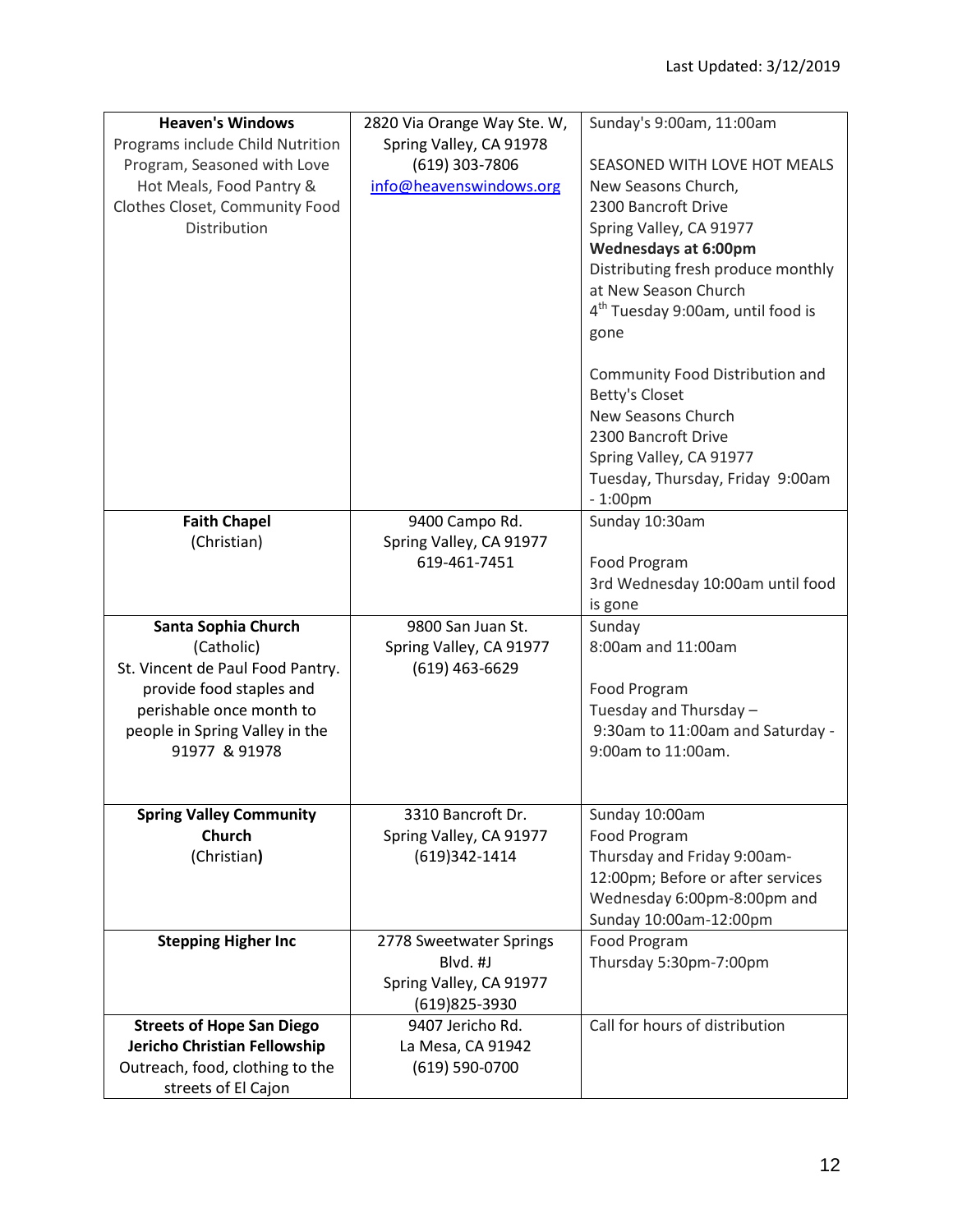| <b>Heaven's Windows</b>          | 2820 Via Orange Way Ste. W, | Sunday's 9:00am, 11:00am                      |
|----------------------------------|-----------------------------|-----------------------------------------------|
| Programs include Child Nutrition | Spring Valley, CA 91978     |                                               |
| Program, Seasoned with Love      | (619) 303-7806              | SEASONED WITH LOVE HOT MEALS                  |
| Hot Meals, Food Pantry &         | info@heavenswindows.org     | New Seasons Church,                           |
| Clothes Closet, Community Food   |                             | 2300 Bancroft Drive                           |
| Distribution                     |                             | Spring Valley, CA 91977                       |
|                                  |                             | <b>Wednesdays at 6:00pm</b>                   |
|                                  |                             | Distributing fresh produce monthly            |
|                                  |                             | at New Season Church                          |
|                                  |                             | 4 <sup>th</sup> Tuesday 9:00am, until food is |
|                                  |                             | gone                                          |
|                                  |                             | Community Food Distribution and               |
|                                  |                             | Betty's Closet                                |
|                                  |                             | New Seasons Church                            |
|                                  |                             | 2300 Bancroft Drive                           |
|                                  |                             | Spring Valley, CA 91977                       |
|                                  |                             | Tuesday, Thursday, Friday 9:00am              |
|                                  |                             | $-1:00$ pm                                    |
| <b>Faith Chapel</b>              | 9400 Campo Rd.              | Sunday 10:30am                                |
| (Christian)                      | Spring Valley, CA 91977     |                                               |
|                                  | 619-461-7451                | Food Program                                  |
|                                  |                             | 3rd Wednesday 10:00am until food              |
|                                  |                             | is gone                                       |
| Santa Sophia Church              | 9800 San Juan St.           | Sunday                                        |
| (Catholic)                       | Spring Valley, CA 91977     | 8:00am and 11:00am                            |
| St. Vincent de Paul Food Pantry. | (619) 463-6629              |                                               |
| provide food staples and         |                             | Food Program                                  |
| perishable once month to         |                             | Tuesday and Thursday -                        |
| people in Spring Valley in the   |                             | 9:30am to 11:00am and Saturday -              |
| 91977 & 91978                    |                             | 9:00am to 11:00am.                            |
|                                  |                             |                                               |
| <b>Spring Valley Community</b>   | 3310 Bancroft Dr.           | Sunday 10:00am                                |
| <b>Church</b>                    | Spring Valley, CA 91977     | Food Program                                  |
| (Christian)                      | (619)342-1414               | Thursday and Friday 9:00am-                   |
|                                  |                             | 12:00pm; Before or after services             |
|                                  |                             | Wednesday 6:00pm-8:00pm and                   |
|                                  |                             | Sunday 10:00am-12:00pm                        |
| <b>Stepping Higher Inc</b>       | 2778 Sweetwater Springs     | Food Program                                  |
|                                  | Blvd. #J                    | Thursday 5:30pm-7:00pm                        |
|                                  | Spring Valley, CA 91977     |                                               |
|                                  | (619)825-3930               |                                               |
| <b>Streets of Hope San Diego</b> | 9407 Jericho Rd.            | Call for hours of distribution                |
| Jericho Christian Fellowship     | La Mesa, CA 91942           |                                               |
| Outreach, food, clothing to the  | (619) 590-0700              |                                               |
| streets of El Cajon              |                             |                                               |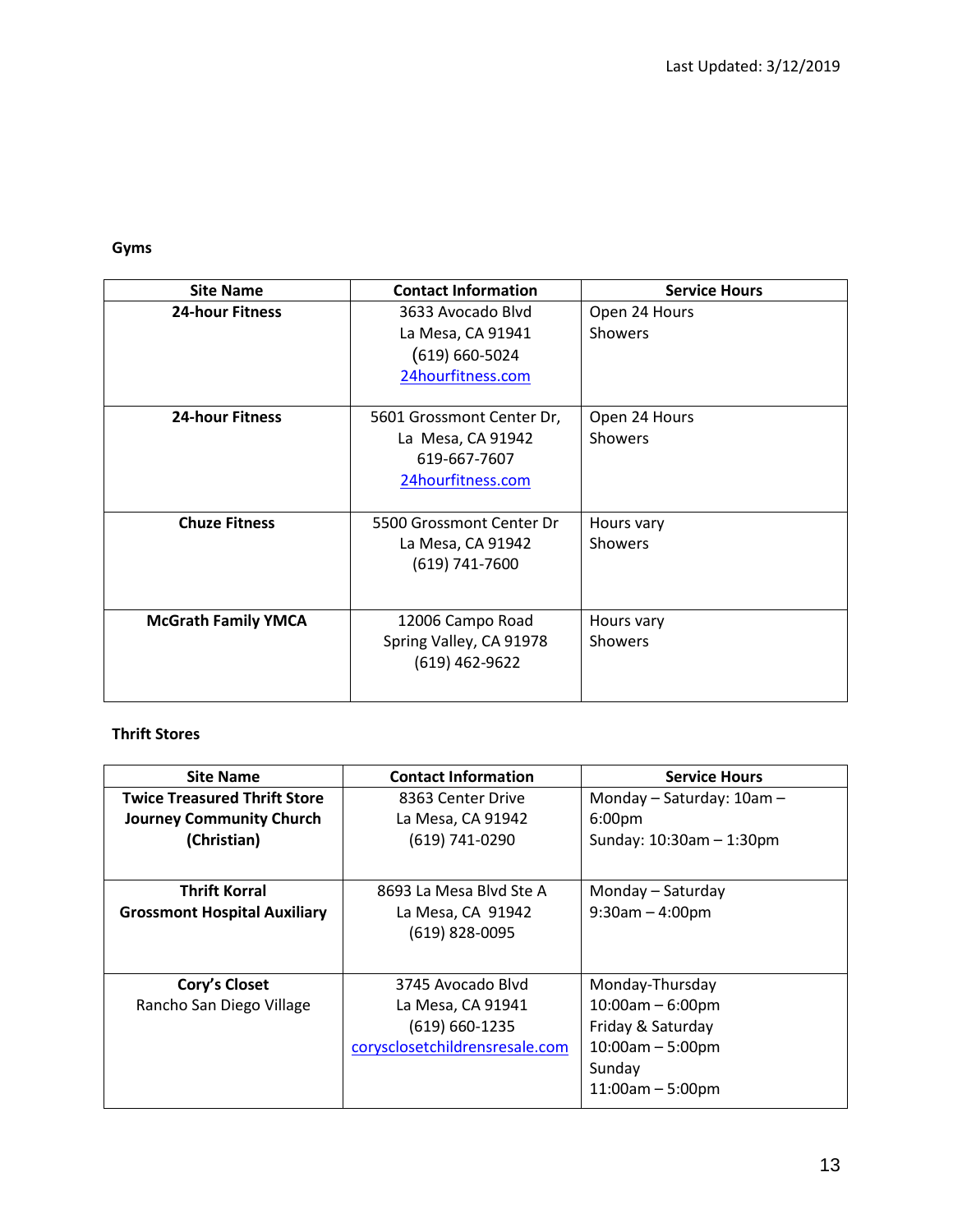**Gyms**

| <b>Site Name</b>           | <b>Contact Information</b>                                                          | <b>Service Hours</b>            |
|----------------------------|-------------------------------------------------------------------------------------|---------------------------------|
| <b>24-hour Fitness</b>     | 3633 Avocado Blyd<br>La Mesa, CA 91941<br>$(619) 660 - 5024$<br>24hourfitness.com   | Open 24 Hours<br><b>Showers</b> |
| <b>24-hour Fitness</b>     | 5601 Grossmont Center Dr,<br>La Mesa, CA 91942<br>619-667-7607<br>24hourfitness.com | Open 24 Hours<br>Showers        |
| <b>Chuze Fitness</b>       | 5500 Grossmont Center Dr<br>La Mesa, CA 91942<br>(619) 741-7600                     | Hours vary<br><b>Showers</b>    |
| <b>McGrath Family YMCA</b> | 12006 Campo Road<br>Spring Valley, CA 91978<br>$(619)$ 462-9622                     | Hours vary<br>Showers           |

#### **Thrift Stores**

| <b>Site Name</b>                    | <b>Contact Information</b>     | <b>Service Hours</b>          |
|-------------------------------------|--------------------------------|-------------------------------|
| <b>Twice Treasured Thrift Store</b> | 8363 Center Drive              | Monday - Saturday: 10am -     |
| <b>Journey Community Church</b>     | La Mesa, CA 91942              | 6:00pm                        |
| (Christian)                         | (619) 741-0290                 | Sunday: $10:30$ am $-1:30$ pm |
|                                     |                                |                               |
| <b>Thrift Korral</b>                | 8693 La Mesa Blyd Ste A        | Monday – Saturday             |
| <b>Grossmont Hospital Auxiliary</b> | La Mesa, CA 91942              | $9:30$ am $-4:00$ pm          |
|                                     | (619) 828-0095                 |                               |
|                                     |                                |                               |
| Cory's Closet                       | 3745 Avocado Blyd              | Monday-Thursday               |
| Rancho San Diego Village            | La Mesa, CA 91941              | $10:00am - 6:00pm$            |
|                                     | $(619) 660 - 1235$             | Friday & Saturday             |
|                                     | corysclosetchildrensresale.com | $10:00am - 5:00pm$            |
|                                     |                                | Sunday                        |
|                                     |                                | $11:00am - 5:00pm$            |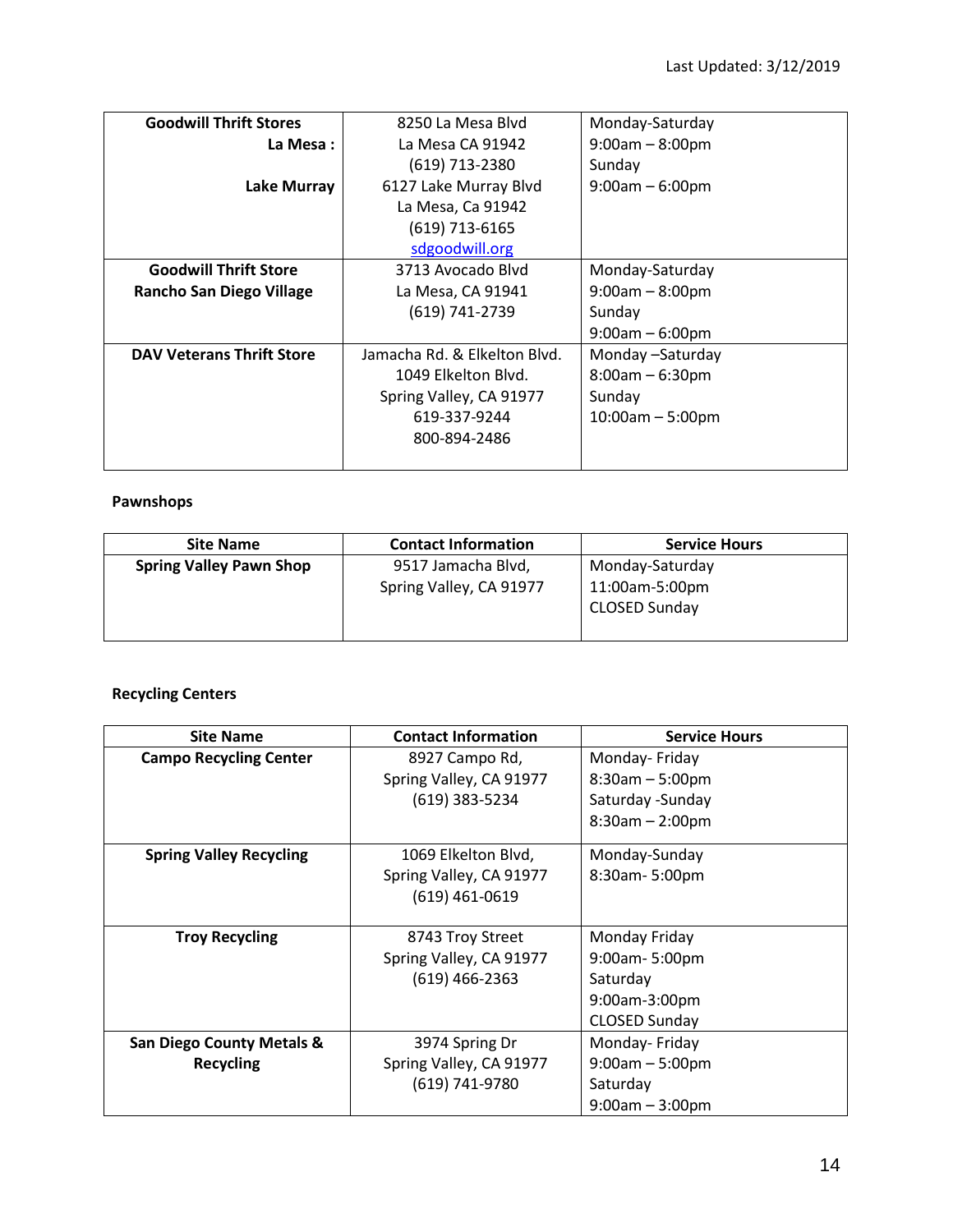| <b>Goodwill Thrift Stores</b>    | 8250 La Mesa Blyd            | Monday-Saturday    |
|----------------------------------|------------------------------|--------------------|
| La Mesa:                         | La Mesa CA 91942             | $9:00am - 8:00pm$  |
|                                  | (619) 713-2380               | Sunday             |
| <b>Lake Murray</b>               | 6127 Lake Murray Blvd        | $9:00am - 6:00pm$  |
|                                  | La Mesa, Ca 91942            |                    |
|                                  | (619) 713-6165               |                    |
|                                  | sdgoodwill.org               |                    |
| <b>Goodwill Thrift Store</b>     | 3713 Avocado Blyd            | Monday-Saturday    |
| <b>Rancho San Diego Village</b>  | La Mesa, CA 91941            | $9:00am - 8:00pm$  |
|                                  | (619) 741-2739               | Sunday             |
|                                  |                              | $9:00am - 6:00pm$  |
| <b>DAV Veterans Thrift Store</b> | Jamacha Rd. & Elkelton Blvd. | Monday -Saturday   |
|                                  | 1049 Elkelton Blvd.          | $8:00am - 6:30pm$  |
|                                  | Spring Valley, CA 91977      | Sunday             |
|                                  | 619-337-9244                 | $10:00am - 5:00pm$ |
|                                  | 800-894-2486                 |                    |
|                                  |                              |                    |

#### **Pawnshops**

| <b>Site Name</b>               | <b>Contact Information</b> | <b>Service Hours</b> |
|--------------------------------|----------------------------|----------------------|
| <b>Spring Valley Pawn Shop</b> | 9517 Jamacha Blvd,         | Monday-Saturday      |
|                                | Spring Valley, CA 91977    | 11:00am-5:00pm       |
|                                |                            | CLOSED Sunday        |
|                                |                            |                      |

### **Recycling Centers**

| <b>Site Name</b>                     | <b>Contact Information</b> | <b>Service Hours</b> |
|--------------------------------------|----------------------------|----------------------|
| <b>Campo Recycling Center</b>        | 8927 Campo Rd,             | Monday-Friday        |
|                                      | Spring Valley, CA 91977    | $8:30am - 5:00pm$    |
|                                      | (619) 383-5234             | Saturday - Sunday    |
|                                      |                            | $8:30am - 2:00pm$    |
| <b>Spring Valley Recycling</b>       | 1069 Elkelton Blvd,        | Monday-Sunday        |
|                                      | Spring Valley, CA 91977    | 8:30am-5:00pm        |
|                                      | (619) 461-0619             |                      |
|                                      |                            |                      |
| <b>Troy Recycling</b>                | 8743 Troy Street           | Monday Friday        |
|                                      | Spring Valley, CA 91977    | 9:00am-5:00pm        |
|                                      | (619) 466-2363             | Saturday             |
|                                      |                            | 9:00am-3:00pm        |
|                                      |                            | CLOSED Sunday        |
| <b>San Diego County Metals &amp;</b> | 3974 Spring Dr             | Monday-Friday        |
| <b>Recycling</b>                     | Spring Valley, CA 91977    | $9:00am - 5:00pm$    |
|                                      | (619) 741-9780             | Saturday             |
|                                      |                            | $9:00am - 3:00pm$    |